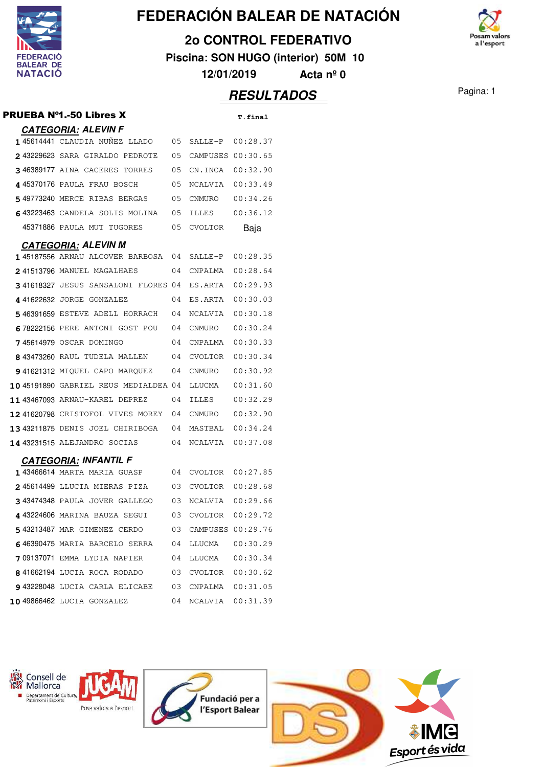

**2o CONTROL FEDERATIVO**

**Piscina: SON HUGO (interior) 50M 10**

**12/01/2019 Acta nº 0**

| PRUEBA N°1.-50 Libres X              |    |                   | T.final  |
|--------------------------------------|----|-------------------|----------|
| <b>CATEGORIA: ALEVIN F</b>           |    |                   |          |
| 145614441 CLAUDIA NUÑEZ LLADO        | 05 | SALLE-P           | 00:28.37 |
| 243229623 SARA GIRALDO PEDROTE       | 05 | CAMPUSES 00:30.65 |          |
| 346389177 AINA CACERES TORRES        | 05 | CN.INCA           | 00:32.90 |
| 445370176 PAULA FRAU BOSCH           | 05 | NCALVIA           | 00:33.49 |
| 549773240 MERCE RIBAS BERGAS         | 05 | CNMURO            | 00:34.26 |
| 643223463 CANDELA SOLIS MOLINA       | 05 | ILLES             | 00:36.12 |
| 45371886 PAULA MUT TUGORES           | 05 | <b>CVOLTOR</b>    | Baja     |
| <b>CATEGORIA: ALEVIN M</b>           |    |                   |          |
| 145187556 ARNAU ALCOVER BARBOSA      | 04 | SALLE-P           | 00:28.35 |
| 241513796 MANUEL MAGALHAES           | 04 | CNPALMA           | 00:28.64 |
| 341618327 JESUS SANSALONI FLORES 04  |    | ES.ARTA           | 00:29.93 |
| 441622632 JORGE GONZALEZ             | 04 | ES.ARTA           | 00:30.03 |
| 546391659 ESTEVE ADELL HORRACH       | 04 | NCALVIA           | 00:30.18 |
| 678222156 PERE ANTONI GOST POU       | 04 | CNMURO            | 00:30.24 |
| 745614979 OSCAR DOMINGO              | 04 | CNPALMA           | 00:30.33 |
| 8 43473260 RAUL TUDELA MALLEN        | 04 | CVOLTOR           | 00:30.34 |
| 941621312 MIOUEL CAPO MAROUEZ        | 04 | CNMURO            | 00:30.92 |
| 1045191890 GABRIEL REUS MEDIALDEA 04 |    | LLUCMA            | 00:31.60 |
| 11 43467093 ARNAU-KAREL DEPREZ       | 04 | ILLES             | 00:32.29 |
| 1241620798 CRISTOFOL VIVES MOREY     | 04 | CNMURO            | 00:32.90 |
| 1343211875 DENIS JOEL CHIRIBOGA      | 04 | MASTBAL           | 00:34.24 |
| 14 43231515 ALEJANDRO SOCIAS         | 04 | NCALVIA           | 00:37.08 |
| <b>CATEGORIA: INFANTIL F</b>         |    |                   |          |
| 143466614 MARTA MARIA GUASP          | 04 | CVOLTOR           | 00:27.85 |
| 245614499 LLUCIA MIERAS PIZA         | 03 | CVOLTOR           | 00:28.68 |
| 343474348 PAULA JOVER GALLEGO        | 03 | NCALVIA           | 00:29.66 |
| 443224606 MARINA BAUZA SEGUI         | 03 | CVOLTOR           | 00:29.72 |
| 543213487 MAR GIMENEZ CERDO          | 03 | CAMPUSES 00:29.76 |          |
| 646390475 MARIA BARCELO SERRA        | 04 | LLUCMA            | 00:30.29 |
| 709137071 EMMA LYDIA NAPIER          | 04 | LLUCMA            | 00:30.34 |
| 841662194 LUCIA ROCA RODADO          | 03 | CVOLTOR           | 00:30.62 |
| 943228048 LUCIA CARLA ELICABE        | 03 | CNPALMA           | 00:31.05 |
| 10 49866462 LUCIA GONZALEZ           | 04 | NCALVIA           | 00:31.39 |



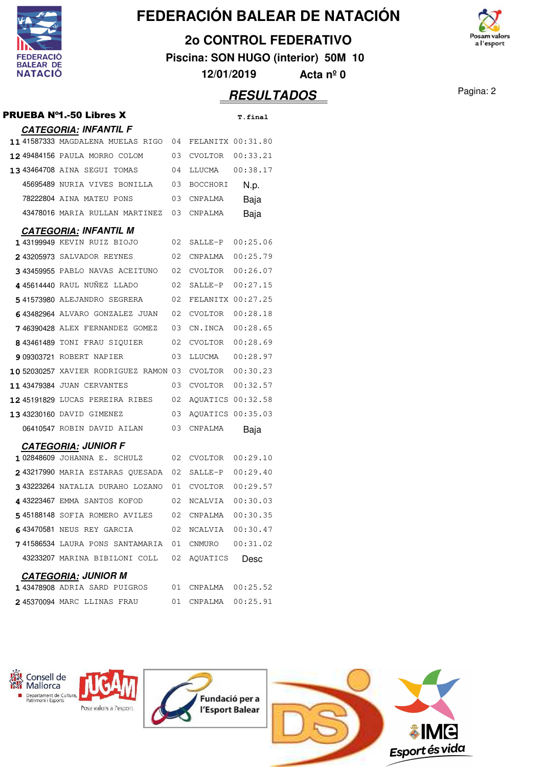

**2o CONTROL FEDERATIVO**

**Piscina: SON HUGO (interior) 50M 10**

**12/01/2019 Acta nº 0**

| PRUEBA Nº1.-50 Libres X                 |    |                   | <b>T.final</b> |
|-----------------------------------------|----|-------------------|----------------|
| <b>CATEGORIA: INFANTIL F</b>            |    |                   |                |
| 1141587333 MAGDALENA MUELAS RIGO        | 04 | FELANITX 00:31.80 |                |
| 1249484156 PAULA MORRO COLOM            | 03 | CVOLTOR           | 00:33.21       |
| <b>13 43464708 AINA SEGUI TOMAS</b>     | 04 | LLUCMA            | 00:38.17       |
| 45695489 NURIA VIVES BONILLA            | 03 | <b>BOCCHORI</b>   | N.p.           |
| 78222804 AINA MATEU PONS                | 03 | CNPALMA           | Baja           |
| 43478016 MARIA RULLAN MARTINEZ          | 03 | CNPALMA           | Baja           |
| <b>CATEGORIA: INFANTIL M</b>            |    |                   |                |
| 143199949 KEVIN RUIZ BIOJO              | 02 | SALLE-P           | 00:25.06       |
| 243205973 SALVADOR REYNES               | 02 | CNPALMA           | 00:25.79       |
| 343459955 PABLO NAVAS ACEITUNO          | 02 | CVOLTOR           | 00:26.07       |
| 445614440 RAUL NUNEZ LLADO              | 02 | SALLE-P           | 00:27.15       |
| 541573980 ALEJANDRO SEGRERA             | 02 | FELANITX 00:27.25 |                |
| 643482964 ALVARO GONZALEZ JUAN          | 02 | CVOLTOR           | 00:28.18       |
| 746390428 ALEX FERNANDEZ GOMEZ          | 03 | CN.INCA           | 00:28.65       |
| 843461489 TONI FRAU SIQUIER             | 02 | CVOLTOR           | 00:28.69       |
| <b>9 09303721 ROBERT NAPIER</b>         | 03 | LLUCMA            | 00:28.97       |
| 10 52030257 XAVIER RODRIGUEZ RAMON 03   |    | CVOLTOR           | 00:30.23       |
| 11 43479384 JUAN CERVANTES              | 03 | CVOLTOR           | 00:32.57       |
| 1245191829 LUCAS PEREIRA RIBES          | 02 | AQUATICS 00:32.58 |                |
| 13 43230160 DAVID GIMENEZ               | 03 | AQUATICS 00:35.03 |                |
| 06410547 ROBIN DAVID AILAN              | 03 | CNPALMA           | Baja           |
| <b>CATEGORIA: JUNIOR F</b>              |    |                   |                |
| 102848609 JOHANNA E. SCHULZ             | 02 | CVOLTOR           | 00:29.10       |
| 243217990 MARIA ESTARAS QUESADA         | 02 | SALLE-P           | 00:29.40       |
| 343223264 NATALIA DURAHO LOZANO         | 01 | CVOLTOR           | 00:29.57       |
| 443223467 EMMA SANTOS KOFOD             | 02 | NCALVIA           | 00:30.03       |
| 545188148 SOFIA ROMERO AVILES           | 02 | CNPALMA           | 00:30.35       |
| 643470581 NEUS REY GARCIA               | 02 | NCALVIA 00:30.47  |                |
| <b>7</b> 41586534 LAURA PONS SANTAMARIA | 01 | CNMURO            | 00:31.02       |
| 43233207 MARINA BIBILONI COLL           | 02 | AQUATICS          | Desc           |
| <b>CATEGORIA: JUNIOR M</b>              |    |                   |                |
| 1 43478908 ADRIA SARD PUIGROS           | 01 |                   |                |
| 245370094 MARC LLINAS FRAU              | 01 | CNPALMA           | 00:25.91       |



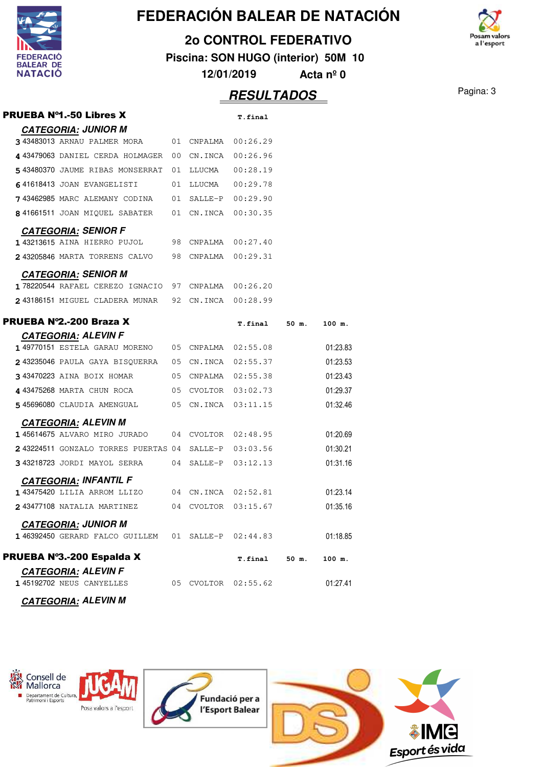

#### **2o CONTROL FEDERATIVO**

**Piscina: SON HUGO (interior) 50M 10**

osam valors a l'esport

**12/01/2019 Acta nº 0**

| <b>PRUEBA Nº1.-50 Libres X</b>                         |    |                     | <b>T.final</b>      |       |          |
|--------------------------------------------------------|----|---------------------|---------------------|-------|----------|
| <b>CATEGORIA: JUNIOR M</b>                             |    |                     |                     |       |          |
| 3 43483013 ARNAU PALMER MORA 01 CNPALMA 00:26.29       |    |                     |                     |       |          |
| 4 43479063 DANIEL CERDA HOLMAGER                       |    | 00 CN.INCA 00:26.96 |                     |       |          |
| 543480370 JAUME RIBAS MONSERRAT 01 LLUCMA 00:28.19     |    |                     |                     |       |          |
| 641618413 JOAN EVANGELISTI                             |    | 01 LLUCMA  00:29.78 |                     |       |          |
| 743462985 MARC ALEMANY CODINA                          | 01 |                     | SALLE-P 00:29.90    |       |          |
| 8 41661511 JOAN MIQUEL SABATER 01 CN.INCA 00:30.35     |    |                     |                     |       |          |
| <b>CATEGORIA: SENIOR F</b>                             |    |                     |                     |       |          |
| 143213615 AINA HIERRO PUJOL                            |    | 98 CNPALMA 00:27.40 |                     |       |          |
| 2 43205846 MARTA TORRENS CALVO 98 CNPALMA 00:29.31     |    |                     |                     |       |          |
| <b>CATEGORIA: SENIOR M</b>                             |    |                     |                     |       |          |
| 178220544 RAFAEL CEREZO IGNACIO 97 CNPALMA 00:26.20    |    |                     |                     |       |          |
| 2 43186151 MIGUEL CLADERA MUNAR 92 CN. INCA 00:28.99   |    |                     |                     |       |          |
| PRUEBA Nº2.-200 Braza X                                |    |                     |                     |       |          |
| <b>CATEGORIA: ALEVIN F</b>                             |    |                     | T.final 50 m.       |       | 100 m.   |
| 1 49770151 ESTELA GARAU MORENO 05 CNPALMA 02:55.08     |    |                     |                     |       | 01:23.83 |
| 243235046 PAULA GAYA BISQUERRA 05 CN.INCA 02:55.37     |    |                     |                     |       | 01:23.53 |
| 3 43470223 AINA BOIX HOMAR 05 CNPALMA 02:55.38         |    |                     |                     |       | 01:23.43 |
| 443475268 MARTA CHUN ROCA                              |    |                     | 05 CVOLTOR 03:02.73 |       | 01:29.37 |
| 5 45696080 CLAUDIA AMENGUAL                            |    |                     | 05 CN.INCA 03:11.15 |       | 01:32.46 |
| <b>CATEGORIA: ALEVIN M</b>                             |    |                     |                     |       |          |
| 145614675 ALVARO MIRO JURADO 04 CVOLTOR 02:48.95       |    |                     |                     |       | 01:20.69 |
| 243224511 GONZALO TORRES PUERTAS 04 SALLE-P 03:03.56   |    |                     |                     |       | 01:30.21 |
| 343218723 JORDI MAYOL SERRA 04 SALLE-P 03:12.13        |    |                     |                     |       | 01:31.16 |
| <b>CATEGORIA: INFANTIL F</b>                           |    |                     |                     |       |          |
| 143475420 LILIA ARROM LLIZO 04 CN.INCA 02:52.81        |    |                     |                     |       | 01:23.14 |
| 243477108 NATALIA MARTINEZ                             |    |                     | 04 CVOLTOR 03:15.67 |       | 01:35.16 |
| <b>CATEGORIA: JUNIOR M</b>                             |    |                     |                     |       |          |
| 146392450 GERARD FALCO GUILLEM 01 SALLE-P 02:44.83     |    |                     |                     |       | 01:18.85 |
|                                                        |    |                     |                     |       |          |
| PRUEBA Nº3.-200 Espalda X                              |    |                     | <b>T.final</b>      | 50 m. | 100 m.   |
| <b>CATEGORIA: ALEVIN F</b><br>145192702 NEUS CANYELLES |    |                     | 05 CVOLTOR 02:55.62 |       | 01:27.41 |
| <b>CATEGORIA: ALEVIN M</b>                             |    |                     |                     |       |          |





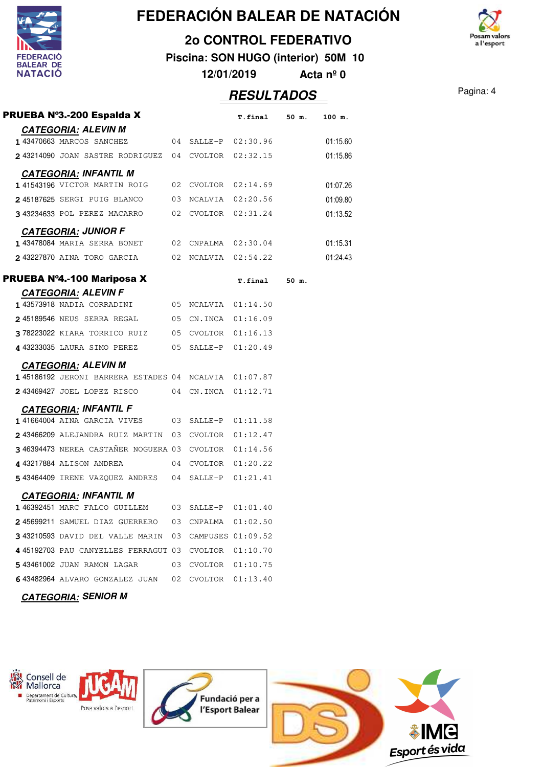

#### **2o CONTROL FEDERATIVO**

**Piscina: SON HUGO (interior) 50M 10**

**12/01/2019 Acta nº 0**

## **RESULTADOS** Pagina: 4

osam valors a l'esport

| PRUEBA Nº3.-200 Espalda X                            |    |                     | T.final 50 m.           |       | 100 m.   |
|------------------------------------------------------|----|---------------------|-------------------------|-------|----------|
| <b>CATEGORIA: ALEVIN M</b>                           |    |                     |                         |       |          |
| 1 43470663 MARCOS SANCHEZ                            |    |                     | $04$ SALLE-P $02:30.96$ |       | 01:15.60 |
| 243214090 JOAN SASTRE RODRIGUEZ 04 CVOLTOR 02:32.15  |    |                     |                         |       | 01:15.86 |
| <b>CATEGORIA: INFANTIL M</b>                         |    |                     |                         |       |          |
| 141543196 VICTOR MARTIN ROIG                         |    |                     | 02 CVOLTOR 02:14.69     |       | 01:07.26 |
| 245187625 SERGI PUIG BLANCO                          |    |                     | 03 NCALVIA 02:20.56     |       | 01:09.80 |
| 3 43234633 POL PEREZ MACARRO 02 CVOLTOR 02:31.24     |    |                     |                         |       | 01:13.52 |
| <b>CATEGORIA: JUNIOR F</b>                           |    |                     |                         |       |          |
| 143478084 MARIA SERRA BONET 02 CNPALMA 02:30.04      |    |                     |                         |       | 01:15.31 |
| 243227870 AINA TORO GARCIA 602 NCALVIA 02:54.22      |    |                     |                         |       | 01:24.43 |
| <b>PRUEBA Nº4.-100 Mariposa X</b>                    |    |                     | <b>T.final</b>          | 50 m. |          |
| <b>CATEGORIA: ALEVIN F</b>                           |    |                     |                         |       |          |
| 143573918 NADIA CORRADINI                            |    | 05 NCALVIA 01:14.50 |                         |       |          |
| 245189546 NEUS SERRA REGAL 05 CN.INCA 01:16.09       |    |                     |                         |       |          |
| 378223022 KIARA TORRICO RUIZ 05 CVOLTOR 01:16.13     |    |                     |                         |       |          |
| 4 43233035 LAURA SIMO PEREZ                          |    | 05 SALLE-P 01:20.49 |                         |       |          |
| <b>CATEGORIA: ALEVIN M</b>                           |    |                     |                         |       |          |
| 145186192 JERONI BARRERA ESTADES 04 NCALVIA 01:07.87 |    |                     |                         |       |          |
| 243469427 JOEL LOPEZ RISCO 04 CN.INCA 01:12.71       |    |                     |                         |       |          |
| <b>CATEGORIA: INFANTIL F</b>                         |    |                     |                         |       |          |
| 141664004 AINA GARCIA VIVES 03 SALLE-P 01:11.58      |    |                     |                         |       |          |
| 243466209 ALEJANDRA RUIZ MARTIN 03 CVOLTOR 01:12.47  |    |                     |                         |       |          |
| 346394473 NEREA CASTAÑER NOGUERA 03 CVOLTOR 01:14.56 |    |                     |                         |       |          |
| 443217884 ALISON ANDREA                              |    | 04 CVOLTOR 01:20.22 |                         |       |          |
| 543464409 IRENE VAZQUEZ ANDRES 04 SALLE-P 01:21.41   |    |                     |                         |       |          |
| <b>CATEGORIA: INFANTIL M</b>                         |    |                     |                         |       |          |
| 146392451 MARC FALCO GUILLEM                         |    | 03 SALLE-P 01:01.40 |                         |       |          |
| 245699211 SAMUEL DIAZ GUERRERO 03                    |    | CNPALMA             | 01:02.50                |       |          |
| 343210593 DAVID DEL VALLE MARIN 03 CAMPUSES 01:09.52 |    |                     |                         |       |          |
| 445192703 PAU CANYELLES FERRAGUT 03 CVOLTOR 01:10.70 |    |                     |                         |       |          |
| 543461002 JUAN RAMON LAGAR                           | 03 | CVOLTOR 01:10.75    |                         |       |          |
| 643482964 ALVARO GONZALEZ JUAN 02 CVOLTOR            |    |                     | 01:13.40                |       |          |
| <b>CATEGORIA: SENIOR M</b>                           |    |                     |                         |       |          |

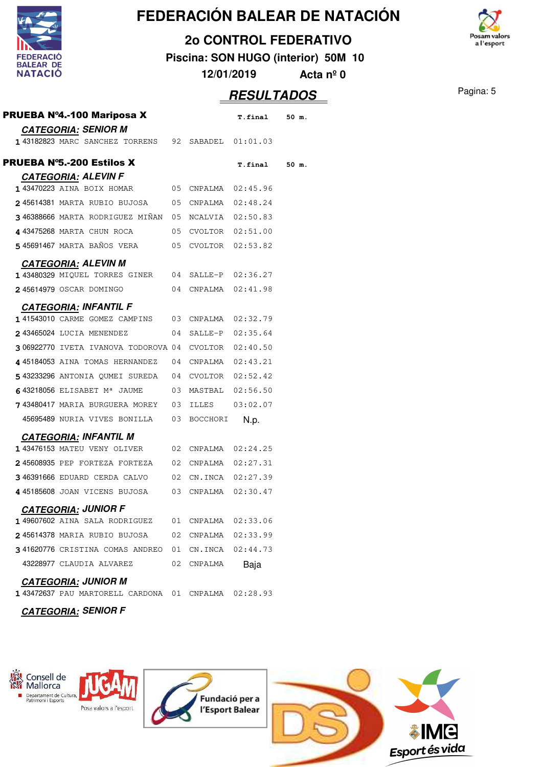

V

## **FEDERACIÓN BALEAR DE NATACIÓN**

#### **2o CONTROL FEDERATIVO**

**Piscina: SON HUGO (interior) 50M 10**

**12/01/2019 Acta nº 0**



|                                                                 |    |             | <b>RESULTADOS</b>   |       | Pagina: 5 |  |  |
|-----------------------------------------------------------------|----|-------------|---------------------|-------|-----------|--|--|
| PRUEBA Nº4.-100 Mariposa X                                      |    |             | T.final             | 50 m. |           |  |  |
| <b>CATEGORIA: SENIOR M</b>                                      |    |             |                     |       |           |  |  |
| 143182823 MARC SANCHEZ TORRENS                                  |    | 92 SABADEL  | 01:01.03            |       |           |  |  |
| <b>PRUEBA N°5.-200 Estilos X</b>                                |    |             | T.final             | 50 m. |           |  |  |
| <b>CATEGORIA: ALEVIN F</b>                                      |    |             |                     |       |           |  |  |
| 143470223 AINA BOIX HOMAR                                       |    | 05 CNPALMA  | 02:45.96            |       |           |  |  |
| 245614381 MARTA RUBIO BUJOSA                                    |    | 05 CNPALMA  | 02:48.24            |       |           |  |  |
| 346388666 MARTA RODRIGUEZ MIÑAN                                 |    |             | 05 NCALVIA 02:50.83 |       |           |  |  |
| 4 43475268 MARTA CHUN ROCA                                      |    |             | 05 CVOLTOR 02:51.00 |       |           |  |  |
| 545691467 MARTA BAÑOS VERA                                      |    | 05 CVOLTOR  | 02:53.82            |       |           |  |  |
| <b>CATEGORIA: ALEVIN M</b>                                      |    |             |                     |       |           |  |  |
| 1 43480329 MIQUEL TORRES GINER                                  |    |             | 04 SALLE-P 02:36.27 |       |           |  |  |
| 245614979 OSCAR DOMINGO                                         |    | 04 CNPALMA  | 02:41.98            |       |           |  |  |
| <b>CATEGORIA: INFANTIL F</b>                                    |    |             |                     |       |           |  |  |
| 141543010 CARME GOMEZ CAMPINS                                   |    |             | 03 CNPALMA 02:32.79 |       |           |  |  |
| 2 43465024 LUCIA MENENDEZ                                       |    |             | 04 SALLE-P 02:35.64 |       |           |  |  |
| 306922770 IVETA IVANOVA TODOROVA 04                             |    |             | CVOLTOR 02:40.50    |       |           |  |  |
| 445184053 AINA TOMAS HERNANDEZ                                  | 04 | CNPALMA     | 02:43.21            |       |           |  |  |
| 543233296 ANTONIA QUMEI SUREDA                                  |    |             | 04 CVOLTOR 02:52.42 |       |           |  |  |
| 643218056 ELISABET M <sup>a</sup> JAUME                         | 03 | MASTBAL     | 02:56.50            |       |           |  |  |
| 743480417 MARIA BURGUERA MOREY                                  |    | 03 ILLES    | 03:02.07            |       |           |  |  |
| 45695489 NURIA VIVES BONILLA                                    |    | 03 BOCCHORI | N.p.                |       |           |  |  |
| <b>CATEGORIA: INFANTIL M</b>                                    |    |             |                     |       |           |  |  |
| 143476153 MATEU VENY OLIVER                                     | 02 | CNPALMA     | 02:24.25            |       |           |  |  |
| 245608935 PEP FORTEZA FORTEZA                                   | 02 |             | CNPALMA 02:27.31    |       |           |  |  |
| 346391666 EDUARD CERDA CALVO                                    | 02 | CN.INCA     | 02:27.39            |       |           |  |  |
| 445185608 JOAN VICENS BUJOSA                                    |    | 03 CNPALMA  | 02:30.47            |       |           |  |  |
| <b>CATEGORIA: JUNIOR F</b>                                      |    |             |                     |       |           |  |  |
| 149607602 AINA SALA RODRIGUEZ                                   |    |             | 01 CNPALMA 02:33.06 |       |           |  |  |
| 245614378 MARIA RUBIO BUJOSA                                    | 02 |             | CNPALMA 02:33.99    |       |           |  |  |
| 341620776 CRISTINA COMAS ANDREO 01 CN.INCA 02:44.73             |    |             |                     |       |           |  |  |
| 43228977 CLAUDIA ALVAREZ                                        | 02 | CNPALMA     | Baja                |       |           |  |  |
| <b>CATEGORIA: JUNIOR M</b>                                      |    |             |                     |       |           |  |  |
| $\texttt{1}$ 43472637 PAU MARTORELL CARDONA 01 CNPALMA 02:28.93 |    |             |                     |       |           |  |  |
| <b>CATEGORIA: SENIOR F</b>                                      |    |             |                     |       |           |  |  |

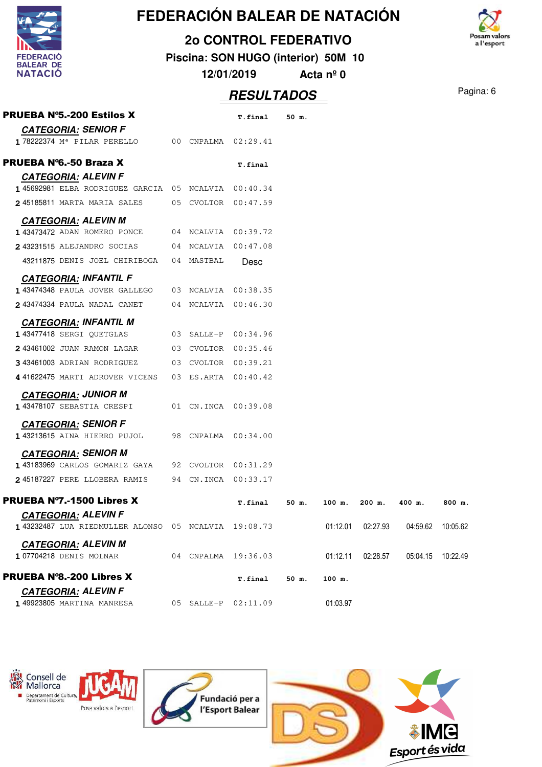

#### **2o CONTROL FEDERATIVO**

**Piscina: SON HUGO (interior) 50M 10**

osam valors a l'esport

**12/01/2019 Acta nº 0**

| <b>PRUEBA N°5.-200 Estilos X</b>                     |            | <b>T.final</b>      | 50 m. |          |          |          |                   |
|------------------------------------------------------|------------|---------------------|-------|----------|----------|----------|-------------------|
| <b>CATEGORIA: SENIOR F</b>                           |            |                     |       |          |          |          |                   |
| 178222374 M <sup>a</sup> PILAR PERELLO               |            | 00 CNPALMA 02:29.41 |       |          |          |          |                   |
| PRUEBA N°6.-50 Braza X                               |            | T.final             |       |          |          |          |                   |
| <b>CATEGORIA: ALEVIN F</b>                           |            |                     |       |          |          |          |                   |
| 145692981 ELBA RODRIGUEZ GARCIA 05 NCALVIA 00:40.34  |            |                     |       |          |          |          |                   |
| 245185811 MARTA MARIA SALES 05 CVOLTOR 00:47.59      |            |                     |       |          |          |          |                   |
| <b>CATEGORIA: ALEVIN M</b>                           |            |                     |       |          |          |          |                   |
| 143473472 ADAN ROMERO PONCE                          |            | 04 NCALVIA 00:39.72 |       |          |          |          |                   |
| 243231515 ALEJANDRO SOCIAS 04 NCALVIA 00:47.08       |            |                     |       |          |          |          |                   |
| 43211875 DENIS JOEL CHIRIBOGA                        | 04 MASTBAL | Desc                |       |          |          |          |                   |
| <b>CATEGORIA: INFANTIL F</b>                         |            |                     |       |          |          |          |                   |
| 143474348 PAULA JOVER GALLEGO 03 NCALVIA 00:38.35    |            |                     |       |          |          |          |                   |
| 243474334 PAULA NADAL CANET                          |            | 04 NCALVIA 00:46.30 |       |          |          |          |                   |
| <b>CATEGORIA: INFANTIL M</b>                         |            |                     |       |          |          |          |                   |
| 1 43477418 SERGI QUETGLAS                            |            | 03 SALLE-P 00:34.96 |       |          |          |          |                   |
| 243461002 JUAN RAMON LAGAR 03 CVOLTOR 00:35.46       |            |                     |       |          |          |          |                   |
| 343461003 ADRIAN RODRIGUEZ 03 CVOLTOR 00:39.21       |            |                     |       |          |          |          |                   |
| 441622475 MARTI ADROVER VICENS                       |            | 03 ES.ARTA 00:40.42 |       |          |          |          |                   |
| <b>CATEGORIA: JUNIOR M</b>                           |            |                     |       |          |          |          |                   |
| 1 43478107 SEBASTIA CRESPI                           |            | 01 CN.INCA 00:39.08 |       |          |          |          |                   |
| <b>CATEGORIA: SENIOR F</b>                           |            |                     |       |          |          |          |                   |
| 143213615 AINA HIERRO PUJOL                          |            | 98 CNPALMA 00:34.00 |       |          |          |          |                   |
| <u>CATEGORIA:</u> SENIOR M                           |            |                     |       |          |          |          |                   |
| 143183969 CARLOS GOMARIZ GAYA                        |            | 92 CVOLTOR 00:31.29 |       |          |          |          |                   |
| 245187227 PERE LLOBERA RAMIS                         |            | 94 CN.INCA 00:33.17 |       |          |          |          |                   |
| <b>PRUEBA Nº7.-1500 Libres X</b>                     |            | <b>T.final</b>      | 50 m. | 100 m.   | $200$ m. | 400 m.   | 800 m.            |
| <b>CATEGORIA: ALEVIN F</b>                           |            |                     |       |          |          |          |                   |
| 1 43232487 LUA RIEDMULLER ALONSO 05 NCALVIA 19:08.73 |            |                     |       | 01:12.01 | 02:27.93 |          | 04:59.62 10:05.62 |
| <b>CATEGORIA: ALEVIN M</b>                           |            |                     |       |          |          |          |                   |
| 107704218 DENIS MOLNAR                               |            | 04 CNPALMA 19:36.03 |       | 01:12.11 | 02:28.57 | 05:04.15 | 10:22.49          |
| <b>PRUEBA N°8.-200 Libres X</b>                      |            | <b>T.final</b>      | 50 m. | 100 m.   |          |          |                   |
| <b>CATEGORIA: ALEVIN F</b>                           |            |                     |       |          |          |          |                   |
| 1 49923805 MARTINA MANRESA                           |            | 05 SALLE-P 02:11.09 |       | 01:03.97 |          |          |                   |





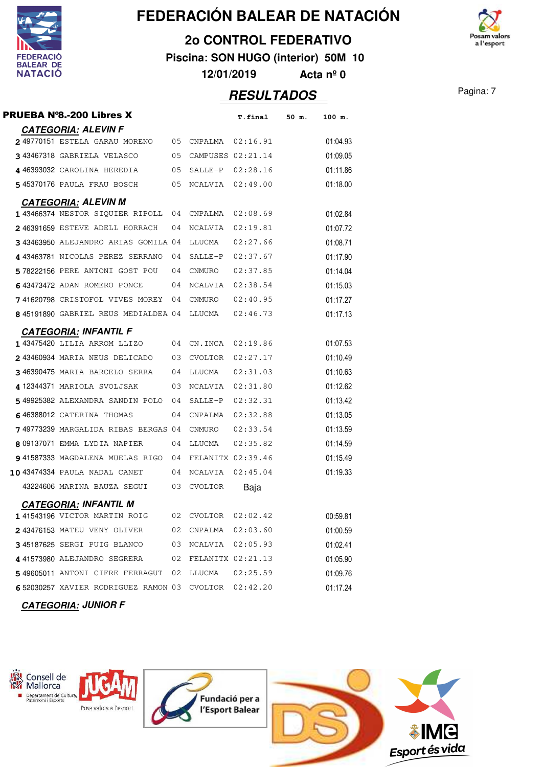

#### **2o CONTROL FEDERATIVO**

**Piscina: SON HUGO (interior) 50M 10**

**12/01/2019 Acta nº 0**

| PRUEBA N°8.-200 Libres X                             |      |                     | <b>T.final</b> | 50 m. | 100 m.   |
|------------------------------------------------------|------|---------------------|----------------|-------|----------|
| <b>CATEGORIA: ALEVIN F</b>                           |      |                     |                |       |          |
| 249770151 ESTELA GARAU MORENO 05                     |      | CNPALMA             | 02:16.91       |       | 01:04.93 |
| 343467318 GABRIELA VELASCO<br>05                     |      | CAMPUSES 02:21.14   |                |       | 01:09.05 |
| 446393032 CAROLINA HEREDIA<br>05                     |      | SALLE-P 02:28.16    |                |       | 01:11.86 |
| 545370176 PAULA FRAU BOSCH<br>05                     |      | NCALVIA 02:49.00    |                |       | 01:18.00 |
| <b>CATEGORIA: ALEVIN M</b>                           |      |                     |                |       |          |
| 143466374 NESTOR SIQUIER RIPOLL 04                   |      | CNPALMA             | 02:08.69       |       | 01:02.84 |
| 246391659 ESTEVE ADELL HORRACH                       | 04   | NCALVIA             | 02:19.81       |       | 01:07.72 |
| 343463950 ALEJANDRO ARIAS GOMILA 04                  |      | LLUCMA              | 02:27.66       |       | 01:08.71 |
| 443463781 NICOLAS PEREZ SERRANO                      | 04   | SALLE-P             | 02:37.67       |       | 01:17.90 |
| 578222156 PERE ANTONI GOST POU                       | - 04 | CNMURO              | 02:37.85       |       | 01:14.04 |
| 643473472 ADAN ROMERO PONCE                          | - 04 | NCALVIA             | 02:38.54       |       | 01:15.03 |
| 741620798 CRISTOFOL VIVES MOREY 04                   |      | CNMURO              | 02:40.95       |       | 01:17.27 |
| 845191890 GABRIEL REUS MEDIALDEA 04                  |      | LLUCMA              | 02:46.73       |       | 01:17.13 |
| <b>CATEGORIA: INFANTIL F</b>                         |      |                     |                |       |          |
| 1 43475420 LILIA ARROM LLIZO                         | 04   | CN.INCA 02:19.86    |                |       | 01:07.53 |
| 243460934 MARIA NEUS DELICADO                        | - 03 | CVOLTOR             | 02:27.17       |       | 01:10.49 |
| 346390475 MARIA BARCELO SERRA                        | 04   | LLUCMA              | 02:31.03       |       | 01:10.63 |
| 412344371 MARIOLA SVOLJSAK                           | 03   | NCALVIA             | 02:31.80       |       | 01:12.62 |
| 549925382 ALEXANDRA SANDIN POLO 04                   |      | SALLE-P             | 02:32.31       |       | 01:13.42 |
| 646388012 CATERINA THOMAS                            | 04   | CNPALMA             | 02:32.88       |       | 01:13.05 |
| 749773239 MARGALIDA RIBAS BERGAS 04                  |      | CNMURO              | 02:33.54       |       | 01:13.59 |
| 8 09137071 EMMA LYDIA NAPIER                         | 04   | LLUCMA              | 02:35.82       |       | 01:14.59 |
| 941587333 MAGDALENA MUELAS RIGO 04                   |      | FELANITX 02:39.46   |                |       | 01:15.49 |
| 10 43474334 PAULA NADAL CANET                        | 04   | NCALVIA 02:45.04    |                |       | 01:19.33 |
| 43224606 MARINA BAUZA SEGUI<br>03                    |      | <b>CVOLTOR</b>      | Baja           |       |          |
| <b>CATEGORIA: INFANTIL M</b>                         |      |                     |                |       |          |
| 141543196 VICTOR MARTIN ROIG                         |      | 02 CVOLTOR 02:02.42 |                |       | 00:59.81 |
| 243476153 MATEU VENY OLIVER 02 CNPALMA 02:03.60      |      |                     |                |       | 01:00.59 |
| 345187625 SERGI PUIG BLANCO 03 NCALVIA 02:05.93      |      |                     |                |       | 01:02.41 |
| 4 41573980 ALEJANDRO SEGRERA 02 FELANITX 02:21.13    |      |                     |                |       | 01:05.90 |
| 549605011 ANTONI CIFRE FERRAGUT 02 LLUCMA 02:25.59   |      |                     |                |       | 01:09.76 |
| 652030257 XAVIER RODRIGUEZ RAMON 03 CVOLTOR 02:42.20 |      |                     |                |       | 01:17.24 |
|                                                      |      |                     |                |       |          |





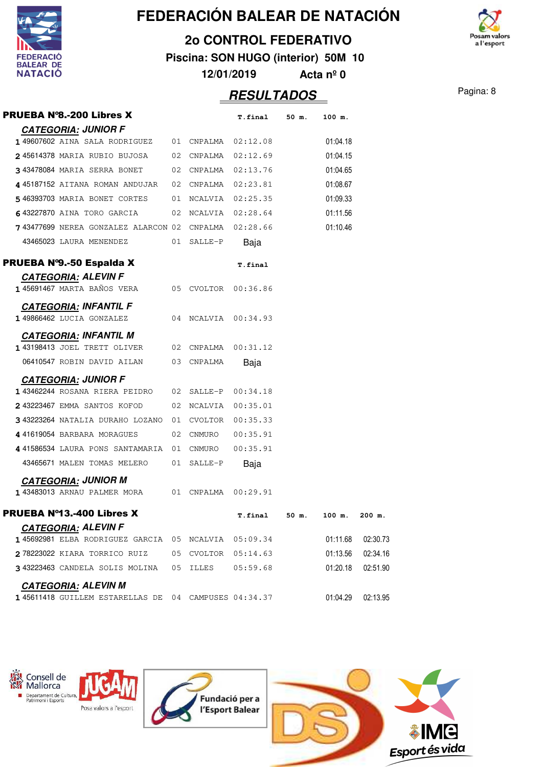

**2o CONTROL FEDERATIVO**

**Piscina: SON HUGO (interior) 50M 10**

**12/01/2019 Acta nº 0**

| PRUEBA N°8.-200 Libres X                             |                     | T.final 50 m.       |       | 100 m.   |          |
|------------------------------------------------------|---------------------|---------------------|-------|----------|----------|
| <b>CATEGORIA: JUNIOR F</b>                           |                     |                     |       |          |          |
| 149607602 AINA SALA RODRIGUEZ 01 CNPALMA 02:12.08    |                     |                     |       | 01:04.18 |          |
| 245614378 MARIA RUBIO BUJOSA 02 CNPALMA 02:12.69     |                     |                     |       | 01:04.15 |          |
| 343478084 MARIA SERRA BONET 02 CNPALMA 02:13.76      |                     |                     |       | 01:04.65 |          |
| 445187152 AITANA ROMAN ANDUJAR 02 CNPALMA 02:23.81   |                     |                     |       | 01:08.67 |          |
| 546393703 MARIA BONET CORTES 01 NCALVIA 02:25.35     |                     |                     |       | 01:09.33 |          |
| 643227870 AINA TORO GARCIA                           |                     | 02 NCALVIA 02:28.64 |       | 01:11.56 |          |
| 743477699 NEREA GONZALEZ ALARCON 02 CNPALMA 02:28.66 |                     |                     |       | 01:10.46 |          |
| 43465023 LAURA MENENDEZ 01 SALLE-P                   |                     | Baja                |       |          |          |
| PRUEBA Nº9.-50 Espalda X                             |                     | T.final             |       |          |          |
| <b>CATEGORIA: ALEVIN F</b>                           |                     |                     |       |          |          |
| 145691467 MARTA BAÑOS VERA                           | 05 CVOLTOR 00:36.86 |                     |       |          |          |
| <b>CATEGORIA: INFANTIL F</b>                         |                     |                     |       |          |          |
| 1 49866462 LUCIA GONZALEZ                            | 04 NCALVIA 00:34.93 |                     |       |          |          |
| <b>CATEGORIA: INFANTIL M</b>                         |                     |                     |       |          |          |
| 1 43198413 JOEL TRETT OLIVER 02 CNPALMA 00:31.12     |                     |                     |       |          |          |
| 06410547 ROBIN DAVID AILAN                           | 03 CNPALMA          | Baja                |       |          |          |
| <b>CATEGORIA: JUNIOR F</b>                           |                     |                     |       |          |          |
| 143462244 ROSANA RIERA PEIDRO 02 SALLE-P 00:34.18    |                     |                     |       |          |          |
| 2 43223467 EMMA SANTOS KOFOD 02 NCALVIA 00:35.01     |                     |                     |       |          |          |
| 343223264 NATALIA DURAHO LOZANO 01 CVOLTOR 00:35.33  |                     |                     |       |          |          |
| 441619054 BARBARA MORAGUES                           | 02 CNMURO 00:35.91  |                     |       |          |          |
| 441586534 LAURA PONS SANTAMARIA 01 CNMURO 00:35.91   |                     |                     |       |          |          |
| 43465671 MALEN TOMAS MELERO                          | 01 SALLE-P          | Baja                |       |          |          |
| <b>CATEGORIA: JUNIOR M</b>                           |                     |                     |       |          |          |
| 143483013 ARNAU PALMER MORA 01 CNPALMA 00:29.91      |                     |                     |       |          |          |
| <b>PRUEBA N°13.-400 Libres X</b>                     |                     | T.final             | 50 m. | 100 m.   | 200 m.   |
| <b>CATEGORIA: ALEVIN F</b>                           |                     |                     |       |          |          |
| 145692981 ELBA RODRIGUEZ GARCIA 05 NCALVIA 05:09.34  |                     |                     |       | 01:11.68 | 02:30.73 |
| 278223022 KIARA TORRICO RUIZ 05 CVOLTOR 05:14.63     |                     |                     |       | 01:13.56 | 02:34.16 |
| 3 43223463 CANDELA SOLIS MOLINA 05 ILLES 05:59.68    |                     |                     |       | 01:20.18 | 02:51.90 |
| <b>CATEGORIA: ALEVIN M</b>                           |                     |                     |       |          |          |
| 145611418 GUILLEM ESTARELLAS DE 04 CAMPUSES 04:34.37 |                     |                     |       | 01:04.29 | 02:13.95 |







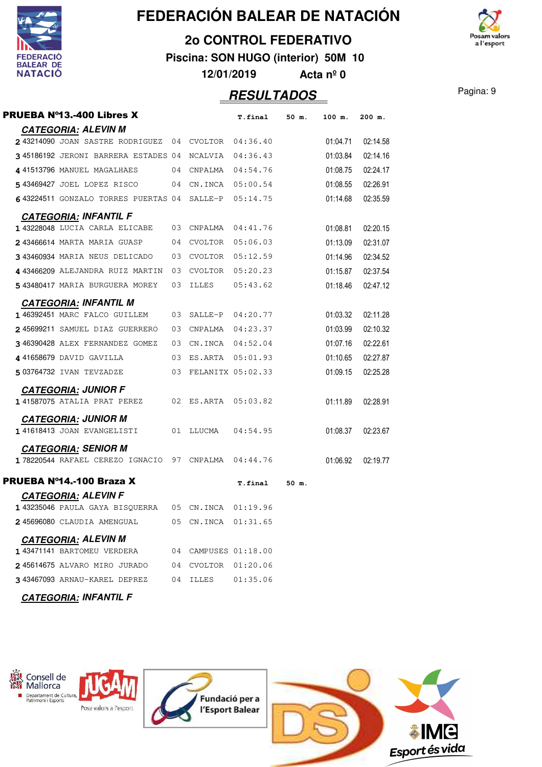

### **2o CONTROL FEDERATIVO**

**Piscina: SON HUGO (interior) 50M 10**

**12/01/2019 Acta nº 0**

| <b>PRUEBA N°13.-400 Libres X</b>                       |                 |                      | T.final 50 m.    | 100 m.   | 200 m.   |
|--------------------------------------------------------|-----------------|----------------------|------------------|----------|----------|
| <b>CATEGORIA: ALEVIN M</b>                             |                 |                      |                  |          |          |
| 243214090 JOAN SASTRE RODRIGUEZ 04 CVOLTOR 04:36.40    |                 |                      |                  | 01:04.71 | 02:14.58 |
| 345186192 JERONI BARRERA ESTADES 04 NCALVIA 04:36.43   |                 |                      |                  | 01:03.84 | 02:14.16 |
| 441513796 MANUEL MAGALHAES                             |                 | 04 CNPALMA 04:54.76  |                  | 01:08.75 | 02:24.17 |
| 543469427 JOEL LOPEZ RISCO 04 CN.INCA 05:00.54         |                 |                      |                  | 01:08.55 | 02:26.91 |
| 643224511 GONZALO TORRES PUERTAS 04 SALLE-P 05:14.75   |                 |                      |                  | 01:14.68 | 02:35.59 |
| <b>CATEGORIA: INFANTIL F</b>                           |                 |                      |                  |          |          |
| 1 43228048 LUCIA CARLA ELICABE 03 CNPALMA 04:41.76     |                 |                      |                  | 01:08.81 | 02:20.15 |
| 243466614 MARTA MARIA GUASP 04 CVOLTOR 05:06.03        |                 |                      |                  | 01:13.09 | 02:31.07 |
| 3 43460934 MARIA NEUS DELICADO 03 CVOLTOR 05:12.59     |                 |                      |                  | 01:14.96 | 02:34.52 |
| 443466209 ALEJANDRA RUIZ MARTIN 03 CVOLTOR 05:20.23    |                 |                      |                  | 01:15.87 | 02:37.54 |
| 5 43480417 MARIA BURGUERA MOREY                        | 03              |                      |                  | 01:18.46 | 02:47.12 |
| <b>CATEGORIA: INFANTIL M</b>                           |                 |                      |                  |          |          |
| 1 46392451 MARC FALCO GUILLEM                          |                 | 03 SALLE-P 04:20.77  |                  | 01:03.32 | 02:11.28 |
| 245699211 SAMUEL DIAZ GUERRERO                         |                 | 03 CNPALMA 04:23.37  |                  | 01:03.99 | 02:10.32 |
| 346390428 ALEX FERNANDEZ GOMEZ                         |                 | 03 CN.INCA 04:52.04  |                  | 01:07.16 | 02:22.61 |
| 441658679 DAVID GAVILLA                                |                 | 03 ES.ARTA 05:01.93  |                  | 01:10.65 | 02:27.87 |
| 503764732 IVAN TEVZADZE                                |                 | 03 FELANITX 05:02.33 |                  | 01:09.15 | 02:25.28 |
| <b>CATEGORIA: JUNIOR F</b>                             |                 |                      |                  |          |          |
| 141587075 ATALIA PRAT PEREZ 02 ES.ARTA 05:03.82        |                 |                      |                  | 01:11.89 | 02:28.91 |
| <b>CATEGORIA: JUNIOR M</b>                             |                 |                      |                  |          |          |
| 1 41618413 JOAN EVANGELISTI                            |                 | 01 LLUCMA 04:54.95   |                  | 01:08.37 | 02:23.67 |
| <b>CATEGORIA: SENIOR M</b>                             |                 |                      |                  |          |          |
| 178220544 RAFAEL CEREZO IGNACIO 97 CNPALMA 04:44.76    |                 |                      |                  | 01:06.92 | 02:19.77 |
| PRUEBA Nº14.-100 Braza X                               |                 |                      | T.final 50 m.    |          |          |
| <b>CATEGORIA: ALEVIN F</b>                             |                 |                      |                  |          |          |
| 1 43235046 PAULA GAYA BISQUERRA  05 CN. INCA  01:19.96 |                 |                      |                  |          |          |
| 245696080 CLAUDIA AMENGUAL                             |                 | 05 CN.INCA 01:31.65  |                  |          |          |
| <b>CATEGORIA: ALEVIN M</b>                             |                 |                      |                  |          |          |
| 1 43471141 BARTOMEU VERDERA                            | $\overline{04}$ | CAMPUSES 01:18.00    |                  |          |          |
| 245614675 ALVARO MIRO JURADO                           | 04              |                      | CVOLTOR 01:20.06 |          |          |
| 343467093 ARNAU-KAREL DEPREZ                           | 04              | ILLES                | 01:35.06         |          |          |
| <b>CATEGORIA: INFANTIL F</b>                           |                 |                      |                  |          |          |



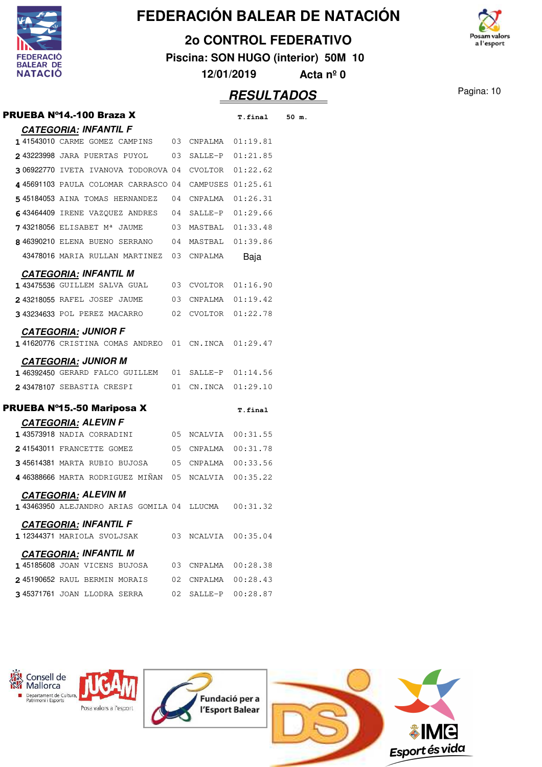

#### **2o CONTROL FEDERATIVO**

**Piscina: SON HUGO (interior) 50M 10**

osam valors a l'esport

**12/01/2019 Acta nº 0**

|                                 |                                                                                                                                                                                                                                                                                                                                  | 50 m.                                                                                                                                                                                                                                                                                                                                                                                                                                                                                                                                                                                                                                                                                                                                                                                                                                     |
|---------------------------------|----------------------------------------------------------------------------------------------------------------------------------------------------------------------------------------------------------------------------------------------------------------------------------------------------------------------------------|-------------------------------------------------------------------------------------------------------------------------------------------------------------------------------------------------------------------------------------------------------------------------------------------------------------------------------------------------------------------------------------------------------------------------------------------------------------------------------------------------------------------------------------------------------------------------------------------------------------------------------------------------------------------------------------------------------------------------------------------------------------------------------------------------------------------------------------------|
|                                 |                                                                                                                                                                                                                                                                                                                                  |                                                                                                                                                                                                                                                                                                                                                                                                                                                                                                                                                                                                                                                                                                                                                                                                                                           |
|                                 |                                                                                                                                                                                                                                                                                                                                  |                                                                                                                                                                                                                                                                                                                                                                                                                                                                                                                                                                                                                                                                                                                                                                                                                                           |
|                                 |                                                                                                                                                                                                                                                                                                                                  |                                                                                                                                                                                                                                                                                                                                                                                                                                                                                                                                                                                                                                                                                                                                                                                                                                           |
|                                 |                                                                                                                                                                                                                                                                                                                                  |                                                                                                                                                                                                                                                                                                                                                                                                                                                                                                                                                                                                                                                                                                                                                                                                                                           |
|                                 |                                                                                                                                                                                                                                                                                                                                  |                                                                                                                                                                                                                                                                                                                                                                                                                                                                                                                                                                                                                                                                                                                                                                                                                                           |
|                                 |                                                                                                                                                                                                                                                                                                                                  |                                                                                                                                                                                                                                                                                                                                                                                                                                                                                                                                                                                                                                                                                                                                                                                                                                           |
|                                 |                                                                                                                                                                                                                                                                                                                                  |                                                                                                                                                                                                                                                                                                                                                                                                                                                                                                                                                                                                                                                                                                                                                                                                                                           |
|                                 |                                                                                                                                                                                                                                                                                                                                  |                                                                                                                                                                                                                                                                                                                                                                                                                                                                                                                                                                                                                                                                                                                                                                                                                                           |
| CNPALMA                         | Baja                                                                                                                                                                                                                                                                                                                             |                                                                                                                                                                                                                                                                                                                                                                                                                                                                                                                                                                                                                                                                                                                                                                                                                                           |
|                                 |                                                                                                                                                                                                                                                                                                                                  |                                                                                                                                                                                                                                                                                                                                                                                                                                                                                                                                                                                                                                                                                                                                                                                                                                           |
|                                 |                                                                                                                                                                                                                                                                                                                                  |                                                                                                                                                                                                                                                                                                                                                                                                                                                                                                                                                                                                                                                                                                                                                                                                                                           |
|                                 |                                                                                                                                                                                                                                                                                                                                  |                                                                                                                                                                                                                                                                                                                                                                                                                                                                                                                                                                                                                                                                                                                                                                                                                                           |
|                                 |                                                                                                                                                                                                                                                                                                                                  |                                                                                                                                                                                                                                                                                                                                                                                                                                                                                                                                                                                                                                                                                                                                                                                                                                           |
|                                 |                                                                                                                                                                                                                                                                                                                                  |                                                                                                                                                                                                                                                                                                                                                                                                                                                                                                                                                                                                                                                                                                                                                                                                                                           |
|                                 |                                                                                                                                                                                                                                                                                                                                  |                                                                                                                                                                                                                                                                                                                                                                                                                                                                                                                                                                                                                                                                                                                                                                                                                                           |
|                                 |                                                                                                                                                                                                                                                                                                                                  |                                                                                                                                                                                                                                                                                                                                                                                                                                                                                                                                                                                                                                                                                                                                                                                                                                           |
|                                 |                                                                                                                                                                                                                                                                                                                                  |                                                                                                                                                                                                                                                                                                                                                                                                                                                                                                                                                                                                                                                                                                                                                                                                                                           |
|                                 |                                                                                                                                                                                                                                                                                                                                  |                                                                                                                                                                                                                                                                                                                                                                                                                                                                                                                                                                                                                                                                                                                                                                                                                                           |
|                                 |                                                                                                                                                                                                                                                                                                                                  |                                                                                                                                                                                                                                                                                                                                                                                                                                                                                                                                                                                                                                                                                                                                                                                                                                           |
|                                 |                                                                                                                                                                                                                                                                                                                                  |                                                                                                                                                                                                                                                                                                                                                                                                                                                                                                                                                                                                                                                                                                                                                                                                                                           |
|                                 |                                                                                                                                                                                                                                                                                                                                  |                                                                                                                                                                                                                                                                                                                                                                                                                                                                                                                                                                                                                                                                                                                                                                                                                                           |
|                                 |                                                                                                                                                                                                                                                                                                                                  |                                                                                                                                                                                                                                                                                                                                                                                                                                                                                                                                                                                                                                                                                                                                                                                                                                           |
|                                 |                                                                                                                                                                                                                                                                                                                                  |                                                                                                                                                                                                                                                                                                                                                                                                                                                                                                                                                                                                                                                                                                                                                                                                                                           |
|                                 |                                                                                                                                                                                                                                                                                                                                  |                                                                                                                                                                                                                                                                                                                                                                                                                                                                                                                                                                                                                                                                                                                                                                                                                                           |
|                                 |                                                                                                                                                                                                                                                                                                                                  |                                                                                                                                                                                                                                                                                                                                                                                                                                                                                                                                                                                                                                                                                                                                                                                                                                           |
|                                 | 00:31.32                                                                                                                                                                                                                                                                                                                         |                                                                                                                                                                                                                                                                                                                                                                                                                                                                                                                                                                                                                                                                                                                                                                                                                                           |
|                                 |                                                                                                                                                                                                                                                                                                                                  |                                                                                                                                                                                                                                                                                                                                                                                                                                                                                                                                                                                                                                                                                                                                                                                                                                           |
|                                 |                                                                                                                                                                                                                                                                                                                                  |                                                                                                                                                                                                                                                                                                                                                                                                                                                                                                                                                                                                                                                                                                                                                                                                                                           |
|                                 |                                                                                                                                                                                                                                                                                                                                  |                                                                                                                                                                                                                                                                                                                                                                                                                                                                                                                                                                                                                                                                                                                                                                                                                                           |
|                                 |                                                                                                                                                                                                                                                                                                                                  |                                                                                                                                                                                                                                                                                                                                                                                                                                                                                                                                                                                                                                                                                                                                                                                                                                           |
|                                 |                                                                                                                                                                                                                                                                                                                                  |                                                                                                                                                                                                                                                                                                                                                                                                                                                                                                                                                                                                                                                                                                                                                                                                                                           |
|                                 |                                                                                                                                                                                                                                                                                                                                  |                                                                                                                                                                                                                                                                                                                                                                                                                                                                                                                                                                                                                                                                                                                                                                                                                                           |
| 243223998 JARA PUERTAS PUYOL 03 | 306922770 IVETA IVANOVA TODOROVA 04<br>545184053 AINA TOMAS HERNANDEZ 04<br>643464409 IRENE VAZQUEZ ANDRES 04<br>$743218056$ ELISABET M <sup>a</sup> JAUME 03<br>846390210 ELENA BUENO SERRANO 04<br>43478016 MARIA RULLAN MARTINEZ 03<br>241543011 FRANCETTE GOMEZ 05<br>143463950 ALEJANDRO ARIAS GOMILA 04 LLUCMA<br>03<br>02 | <b>T.final</b><br>141543010 CARME GOMEZ CAMPINS 03 CNPALMA 01:19.81<br>SALLE-P 01:21.85<br>CVOLTOR 01:22.62<br>445691103 PAULA COLOMAR CARRASCO 04 CAMPUSES 01:25.61<br>CNPALMA  01:26.31<br>SALLE-P 01:29.66<br>MASTBAL 01:33.48<br>MASTBAL 01:39.86<br>143475536 GUILLEM SALVA GUAL 03 CVOLTOR 01:16.90<br>2 43218055 RAFEL JOSEP JAUME 03 CNPALMA 01:19.42<br>3 43234633 POL PEREZ MACARRO 02 CVOLTOR 01:22.78<br>141620776 CRISTINA COMAS ANDREO 01 CN.INCA 01:29.47<br>146392450 GERARD FALCO GUILLEM 01 SALLE-P 01:14.56<br>2 43478107 SEBASTIA CRESPI 01 CN.INCA 01:29.10<br>T.final<br>05 NCALVIA 00:31.55<br>CNPALMA  00:31.78<br>345614381 MARTA RUBIO BUJOSA 05 CNPALMA 00:33.56<br>446388666 MARTA RODRIGUEZ MINAN 05 NCALVIA 00:35.22<br>NCALVIA 00:35.04<br>03 CNPALMA 00:28.38<br>CNPALMA  00:28.43<br>02 SALLE-P 00:28.87 |

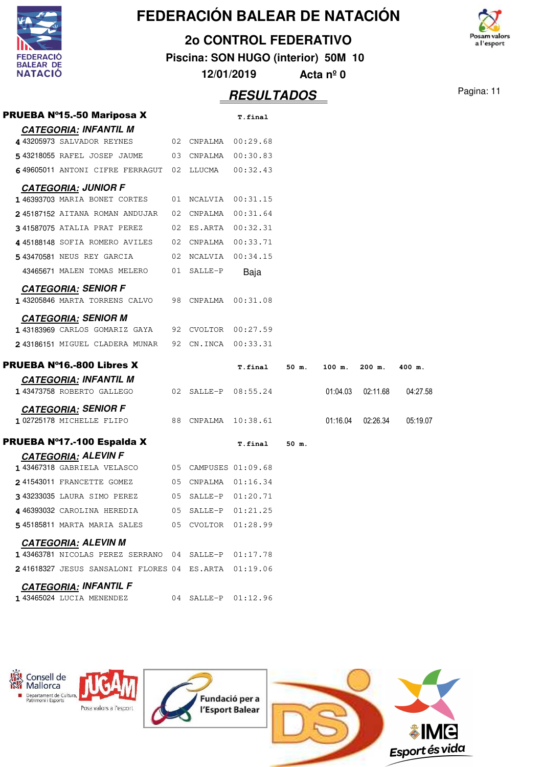| <b>FEDERACIÓ</b><br><b>BALEAR DE</b><br><b>NATACIÓ</b> |
|--------------------------------------------------------|

#### **2o CONTROL FEDERATIVO**

**Piscina: SON HUGO (interior) 50M 10**

osam valors a l'esport

**12/01/2019 Acta nº 0**

| <b>PRUEBA Nº15.-50 Mariposa X</b>                    |    |                      | <b>T.final</b> |       |          |          |          |
|------------------------------------------------------|----|----------------------|----------------|-------|----------|----------|----------|
| <b>CATEGORIA: INFANTIL M</b>                         |    |                      |                |       |          |          |          |
| 4 43205973 SALVADOR REYNES                           |    | 02 CNPALMA           | 00:29.68       |       |          |          |          |
| 543218055 RAFEL JOSEP JAUME 03 CNPALMA 00:30.83      |    |                      |                |       |          |          |          |
| 649605011 ANTONI CIFRE FERRAGUT 02 LLUCMA            |    |                      | 00:32.43       |       |          |          |          |
| <b>CATEGORIA: JUNIOR F</b>                           |    |                      |                |       |          |          |          |
| 146393703 MARIA BONET CORTES                         |    | 01 NCALVIA 00:31.15  |                |       |          |          |          |
| 245187152 AITANA ROMAN ANDUJAR                       |    | 02 CNPALMA           | 00:31.64       |       |          |          |          |
| 341587075 ATALIA PRAT PEREZ                          |    | 02 ES.ARTA 00:32.31  |                |       |          |          |          |
| 445188148 SOFIA ROMERO AVILES                        |    | 02 CNPALMA 00:33.71  |                |       |          |          |          |
| 5 43470581 NEUS REY GARCIA                           |    | 02 NCALVIA           | 00:34.15       |       |          |          |          |
| 43465671 MALEN TOMAS MELERO                          |    | 01 SALLE-P           | Baja           |       |          |          |          |
| <b>CATEGORIA: SENIOR F</b>                           |    |                      |                |       |          |          |          |
| 1 43205846 MARTA TORRENS CALVO                       |    | 98 CNPALMA           | 00:31.08       |       |          |          |          |
| <b>CATEGORIA: SENIOR M</b>                           |    |                      |                |       |          |          |          |
| 1 43183969 CARLOS GOMARIZ GAYA                       |    | 92 CVOLTOR 00:27.59  |                |       |          |          |          |
| 243186151 MIGUEL CLADERA MUNAR                       |    | 92 CN.INCA           | 00:33.31       |       |          |          |          |
| <b>PRUEBA Nº16.-800 Libres X</b>                     |    |                      | <b>T.final</b> | 50 m. | 100 m.   | $200$ m. | 400 m.   |
| <b>CATEGORIA: INFANTIL M</b>                         |    |                      |                |       |          |          |          |
| 1 43473758 ROBERTO GALLEGO                           |    | 02 SALLE-P 08:55.24  |                |       | 01:04.03 | 02:11.68 | 04:27.58 |
| <b>CATEGORIA: SENIOR F</b>                           |    |                      |                |       |          |          |          |
| 102725178 MICHELLE FLIPO                             |    | 88 CNPALMA 10:38.61  |                |       | 01:16.04 | 02:26.34 | 05:19.07 |
| PRUEBA Nº17.-100 Espalda X                           |    |                      | T.final        | 50 m. |          |          |          |
| <b>CATEGORIA: ALEVIN F</b>                           |    |                      |                |       |          |          |          |
| 1 43467318 GABRIELA VELASCO                          |    | 05 CAMPUSES 01:09.68 |                |       |          |          |          |
| 241543011 FRANCETTE GOMEZ                            |    | 05 CNPALMA 01:16.34  |                |       |          |          |          |
| 343233035 LAURA SIMO PEREZ                           |    | 05 SALLE-P 01:20.71  |                |       |          |          |          |
| 446393032 CAROLINA HEREDIA                           | 05 | SALLE-P              | 01:21.25       |       |          |          |          |
| 545185811 MARTA MARIA SALES 05 CVOLTOR 01:28.99      |    |                      |                |       |          |          |          |
| <b>CATEGORIA: ALEVIN M</b>                           |    |                      |                |       |          |          |          |
| 1 43463781 NICOLAS PEREZ SERRANO 04 SALLE-P 01:17.78 |    |                      |                |       |          |          |          |
| 241618327 JESUS SANSALONI FLORES 04 ES.ARTA 01:19.06 |    |                      |                |       |          |          |          |
| <b>CATEGORIA: INFANTIL F</b>                         |    |                      |                |       |          |          |          |
| 1 43465024 LUCIA MENENDEZ                            |    | 04 SALLE-P 01:12.96  |                |       |          |          |          |

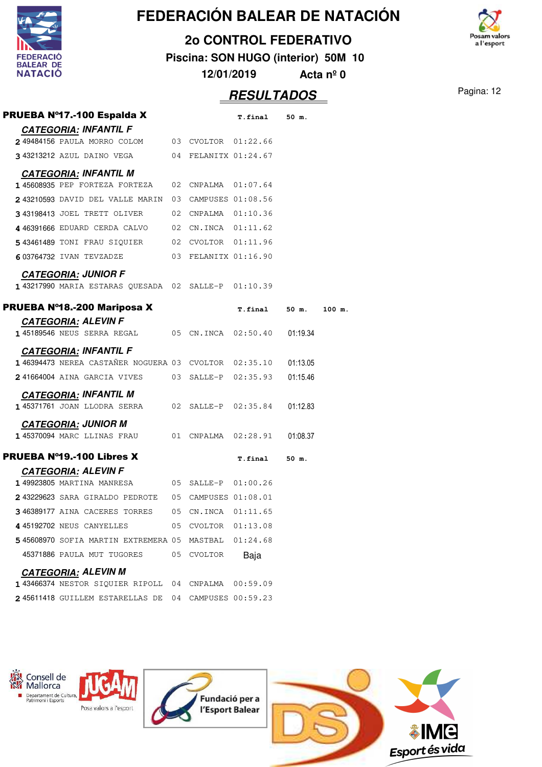

#### **2o CONTROL FEDERATIVO**

**Piscina: SON HUGO (interior) 50M 10**

**12/01/2019 Acta nº 0**

### Pagina: 12 **RESULTADOS**

osam valors a l'esport

|                                                          |    |                     |                      | <u>. , , , , , ,</u> |  |
|----------------------------------------------------------|----|---------------------|----------------------|----------------------|--|
| <b>PRUEBA Nº17.-100 Espalda X</b>                        |    |                     | T.final 50 m.        |                      |  |
| <b>CATEGORIA: INFANTIL F</b>                             |    |                     |                      |                      |  |
| 249484156 PAULA MORRO COLOM 03 CVOLTOR 01:22.66          |    |                     |                      |                      |  |
| 343213212 AZUL DAINO VEGA 04 FELANITX 01:24.67           |    |                     |                      |                      |  |
| <b>CATEGORIA: INFANTIL M</b>                             |    |                     |                      |                      |  |
| 145608935 PEP FORTEZA FORTEZA 02 CNPALMA 01:07.64        |    |                     |                      |                      |  |
| 243210593 DAVID DEL VALLE MARIN 03 CAMPUSES 01:08.56     |    |                     |                      |                      |  |
| 343198413 JOEL TRETT OLIVER                              |    | 02 CNPALMA 01:10.36 |                      |                      |  |
| 4 46391666 EDUARD CERDA CALVO 02 CN.INCA 01:11.62        |    |                     |                      |                      |  |
| 543461489 TONI FRAU SIQUIER 02 CVOLTOR 01:11.96          |    |                     |                      |                      |  |
| 603764732 IVAN TEVZADZE $03$ FELANITX $01:16.90$         |    |                     |                      |                      |  |
| <b>CATEGORIA: JUNIOR F</b>                               |    |                     |                      |                      |  |
| 143217990 MARIA ESTARAS QUESADA 02 SALLE-P 01:10.39      |    |                     |                      |                      |  |
| <b>PRUEBA Nº18.-200 Mariposa X</b>                       |    |                     | T.final 50 m. 100 m. |                      |  |
| <b>CATEGORIA: ALEVIN F</b>                               |    |                     |                      |                      |  |
| 145189546 NEUS SERRA REGAL 05 CN.INCA 02:50.40 01:19.34  |    |                     |                      |                      |  |
| <b>CATEGORIA: INFANTIL F</b>                             |    |                     |                      |                      |  |
| 146394473 NEREA CASTAÑER NOGUERA 03 CVOLTOR 02:35.10     |    |                     |                      | 01:13.05             |  |
| 241664004 AINA GARCIA VIVES 03 SALLE-P 02:35.93          |    |                     |                      | 01:15.46             |  |
| <b>CATEGORIA: INFANTIL M</b>                             |    |                     |                      |                      |  |
| 145371761 JOAN LLODRA SERRA 02 SALLE-P 02:35.84          |    |                     |                      | 01:12.83             |  |
| <b>CATEGORIA: JUNIOR M</b>                               |    |                     |                      |                      |  |
| 145370094 MARC LLINAS FRAU 601 CNPALMA 02:28.91 01:08.37 |    |                     |                      |                      |  |
| <b>PRUEBA Nº19.-100 Libres X</b>                         |    |                     | T.final 50 m.        |                      |  |
| <b>CATEGORIA: ALEVIN F</b>                               |    |                     |                      |                      |  |
| 149923805 MARTINA MANRESA 65 SALLE-P 01:00.26            |    |                     |                      |                      |  |
| 243229623 SARA GIRALDO PEDROTE 05 CAMPUSES 01:08.01      |    |                     |                      |                      |  |
| 3 46389177 AINA CACERES TORRES                           | 05 | CN.INCA             | 01:11.65             |                      |  |
| 4 45192702 NEUS CANYELLES                                |    | 05 CVOLTOR 01:13.08 |                      |                      |  |
| 545608970 SOFIA MARTIN EXTREMERA 05 MASTBAL              |    |                     | 01:24.68             |                      |  |
| 45371886 PAULA MUT TUGORES                               |    | 05 CVOLTOR          | Baja                 |                      |  |
| <b>CATEGORIA: ALEVIN M</b>                               |    |                     |                      |                      |  |
| 143466374 NESTOR SIQUIER RIPOLL 04 CNPALMA               |    |                     | 00:59.09             |                      |  |
| 245611418 GUILLEM ESTARELLAS DE 04 CAMPUSES 00:59.23     |    |                     |                      |                      |  |

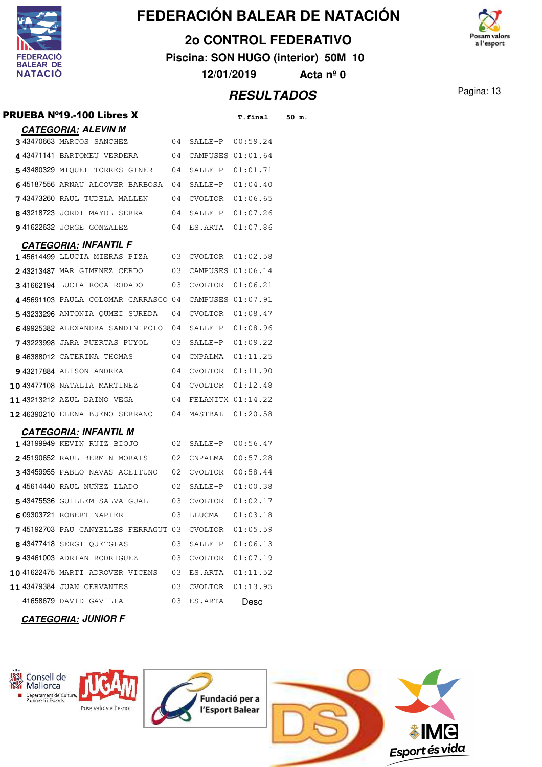

#### **2o CONTROL FEDERATIVO**

**Piscina: SON HUGO (interior) 50M 10**

**12/01/2019 Acta nº 0**



Pagina: 13 **RESULTADOS**

| PRUEBA Nº19.-100 Libres X                        |    |                      | T.final  | 50 m. |
|--------------------------------------------------|----|----------------------|----------|-------|
| <b>CATEGORIA: ALEVIN M</b>                       |    |                      |          |       |
| 343470663 MARCOS SANCHEZ                         | 04 | SALLE-P 00:59.24     |          |       |
| 4 43471141 BARTOMEU VERDERA 04                   |    | CAMPUSES 01:01.64    |          |       |
| 543480329 MIQUEL TORRES GINER 04                 |    | SALLE-P 01:01.71     |          |       |
| 645187556 ARNAU ALCOVER BARBOSA 04               |    | SALLE-P 01:04.40     |          |       |
| 743473260 RAUL TUDELA MALLEN                     | 04 | CVOLTOR 01:06.65     |          |       |
| 843218723 JORDI MAYOL SERRA 04                   |    | SALLE-P 01:07.26     |          |       |
| 941622632 JORGE GONZALEZ                         | 04 | ES.ARTA 01:07.86     |          |       |
| <b>CATEGORIA: INFANTIL F</b>                     |    |                      |          |       |
| 145614499 LLUCIA MIERAS PIZA 03 CVOLTOR 01:02.58 |    |                      |          |       |
| <b>2</b> 43213487 MAR GIMENEZ CERDO              | 03 | CAMPUSES 01:06.14    |          |       |
| <b>341662194 LUCIA ROCA RODADO</b> 03            |    | CVOLTOR 01:06.21     |          |       |
| 445691103 PAULA COLOMAR CARRASCO 04              |    | CAMPUSES 01:07.91    |          |       |
| 543233296 ANTONIA QUMEI SUREDA 04                |    | CVOLTOR 01:08.47     |          |       |
| 649925382 ALEXANDRA SANDIN POLO 04               |    | SALLE-P 01:08.96     |          |       |
| 743223998 JARA PUERTAS PUYOL 03                  |    | SALLE-P 01:09.22     |          |       |
| 846388012 CATERINA THOMAS                        | 04 | $CNPALMA$ $01:11.25$ |          |       |
| <b>9</b> 43217884 ALISON ANDREA                  | 04 | CVOLTOR 01:11.90     |          |       |
| <b>10</b> 43477108 NATALIA MARTINEZ              | 04 | CVOLTOR 01:12.48     |          |       |
| 1143213212 AZUL DAINO VEGA 64                    |    | FELANITX 01:14.22    |          |       |
| <b>12</b> 46390210 ELENA BUENO SERRANO 04        |    | MASTBAL 01:20.58     |          |       |
| <b>CATEGORIA: INFANTIL M</b>                     |    |                      |          |       |
| 143199949 KEVIN RUIZ BIOJO                       | 02 | SALLE-P 00:56.47     |          |       |
| <b>2</b> 45190652 RAUL BERMIN MORAIS             | 02 | CNPALMA  00:57.28    |          |       |
| 343459955 PABLO NAVAS ACEITUNO                   | 02 | CVOLTOR 00:58.44     |          |       |
| 445614440 RAUL NUNEZ LLADO<br>$\sim$ 02          |    | SALLE-P 01:00.38     |          |       |
| 543475536 GUILLEM SALVA GUAL 03                  |    | CVOLTOR 01:02.17     |          |       |
| 609303721 ROBERT NAPIER                          |    |                      |          |       |
| 745192703 PAU CANYELLES FERRAGUT 03              |    | CVOLTOR 01:05.59     |          |       |
| 843477418 SERGI OUETGLAS                         | 03 | SALLE-P              | 01:06.13 |       |
| 943461003 ADRIAN RODRIGUEZ                       | 03 | CVOLTOR 01:07.19     |          |       |
| 1041622475 MARTI ADROVER VICENS                  | 03 | ES.ARTA  01:11.52    |          |       |
| <b>11 43479384 JUAN CERVANTES</b>                | 03 | CVOLTOR              | 01:13.95 |       |
| 41658679 DAVID GAVILLA                           | 03 | ES.ARTA              | Desc     |       |

**CATEGORIA: JUNIOR F**